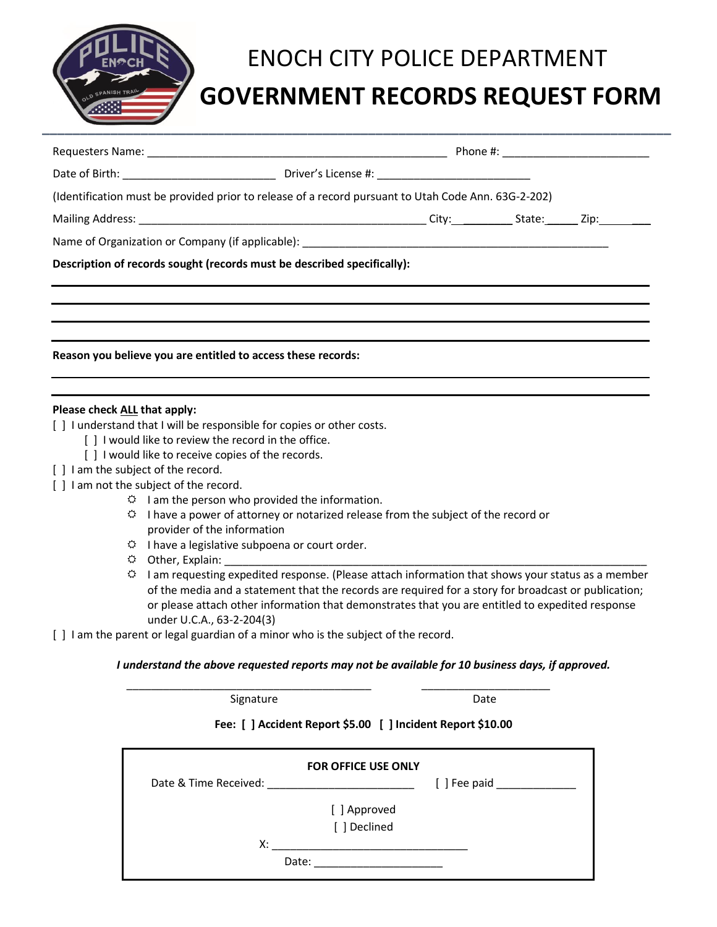

## ENOCH CITY POLICE DEPARTMENT

## **GOVERNMENT RECORDS REQUEST FORM**

| (Identification must be provided prior to release of a record pursuant to Utah Code Ann. 63G-2-202)   |  |  |  |  |  |
|-------------------------------------------------------------------------------------------------------|--|--|--|--|--|
|                                                                                                       |  |  |  |  |  |
|                                                                                                       |  |  |  |  |  |
| Description of records sought (records must be described specifically):                               |  |  |  |  |  |
|                                                                                                       |  |  |  |  |  |
|                                                                                                       |  |  |  |  |  |
|                                                                                                       |  |  |  |  |  |
| Reason you believe you are entitled to access these records:                                          |  |  |  |  |  |
|                                                                                                       |  |  |  |  |  |
|                                                                                                       |  |  |  |  |  |
| Please check ALL that apply:<br>[] I understand that I will be responsible for copies or other costs. |  |  |  |  |  |
| [] I would like to review the record in the office.                                                   |  |  |  |  |  |
| [] I would like to receive copies of the records.                                                     |  |  |  |  |  |
| [ ] I am the subject of the record.                                                                   |  |  |  |  |  |
| [] I am not the subject of the record.                                                                |  |  |  |  |  |

- $\ddot{\varphi}$  I am the person who provided the information.
- $\heartsuit$  I have a power of attorney or notarized release from the subject of the record or provider of the information
- $\ddot{\varphi}$  I have a legislative subpoena or court order.
- $\Leftrightarrow$  Other, Explain:
- $\heartsuit$  I am requesting expedited response. (Please attach information that shows your status as a member of the media and a statement that the records are required for a story for broadcast or publication; or please attach other information that demonstrates that you are entitled to expedited response under U.C.A., 63-2-204(3)
- [ ] I am the parent or legal guardian of a minor who is the subject of the record.

## *I understand the above requested reports may not be available for 10 business days, if approved.* \_\_\_\_\_\_\_\_\_\_\_\_\_\_\_\_\_\_\_\_\_\_\_\_\_\_\_\_\_\_\_\_\_\_\_\_\_\_\_\_ \_\_\_\_\_\_\_\_\_\_\_\_\_\_\_\_\_\_\_\_\_

Signature Date

## **Fee: [ ] Accident Report \$5.00 [ ] Incident Report \$10.00**

|                       | <b>FOR OFFICE USE ONLY</b> |                       |
|-----------------------|----------------------------|-----------------------|
| Date & Time Received: |                            | $[$ ] Fee paid $\Box$ |
|                       | [ ] Approved               |                       |
|                       | [ ] Declined               |                       |
| Х:                    |                            |                       |
|                       | Date:                      |                       |